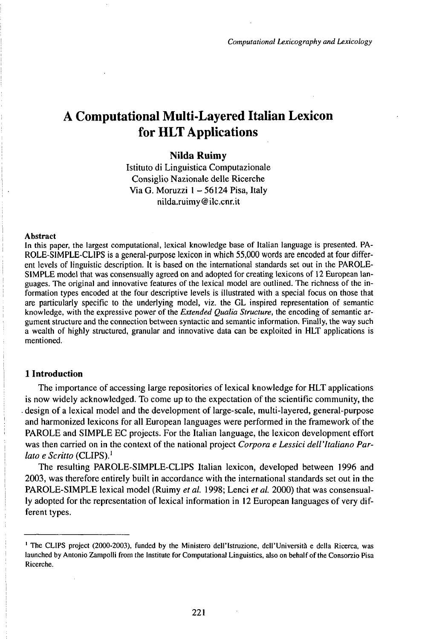# A Computational Multi-Layered Italian Lexicon for HLT Applications

## **Nilda Ruimy**

Istituto di Linguistica Computazionale Consiglio Nazionale delle Ricerche Via G. Moruzzi 1 - 56124 Pisa, Italy nilda.ruimy@ilc.cnr.it

#### Abstract

In this paper, the largest computational, lexical knowledge base of Italian language is presented. PA-ROLE-SIMPLE-CLIPS is a general-purpose lexicon in which 55,000 words are encoded at four different levels of linguistic description. It is based on the international standards set out in the PAROLE-SIMPLE model that was consensually agreed on and adopted for creating lexicons of 12 European languages. The original and innovative features of the lexical model are outlined. The richness of the information types encoded at the four descriptive levels is illustrated with a special focus on those that are particularly specific to the underlying model, viz. the GL inspired representation of semantic knowledge, with the expressive power of the *Extended Qualia Structure,* the encoding of semantic argument structure and the connection between syntactic and semantic information. Finally, the way such a wealth of highly structured, granular and innovative data can be exploited in HLT applications is mentioned.

### **1 Introduction**

The importance of accessing large repositories of lexical knowledge for HLT applications is now widely acknowledged. To come up to the expectation of the scientific community, the . design of a lexical model and the development of large-scale, multi-layered, general-purpose and harmonized lexicons for all European languages were performed in the framework of the PAROLE and SIMPLE EC projects. For the Italian language, the lexicon development effort was then carried on in the context of the national project *Corpora e Lessici dell'Italiano Parlato e Scritto* (CLIPS).<sup>1</sup>

The resulting PAROLE-SIMPLE-CLIPS Italian lexicon, developed between 1996 and 2003, was therefore entirely built in accordance with the international standards set out in the PAROLE-SIMPLE lexical model (Ruimy *et al.* 1998; Lenci *et al.* 2000) that was consensually adopted for the representation of lexical information in 12 European languages of very different types.

<sup>1</sup> The CLIPS project (2000-2003), funded by the Ministero dell'Istruzione, dell'Università e della Ricerca, was launched by Antonio Zampolli from the Institute for Computational Linguistics, also on behalf of the Consorzio Pisa Ricerche.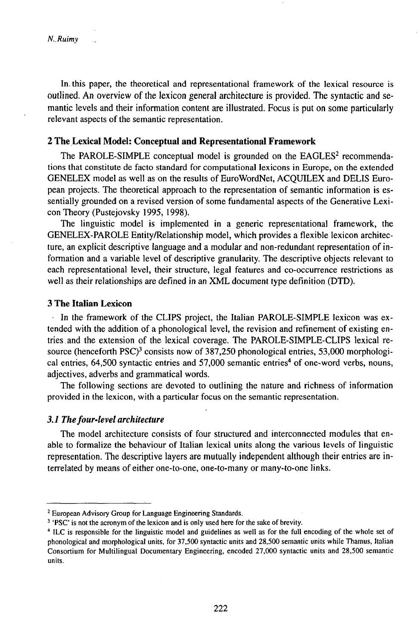In. this paper, the theoretical and representational framework of the lexical resource is outlined. An overview of the lexicon general architecture is provided. The syntactic and semantic levels and their information content are illustrated. Focus is put on some particularly relevant aspects of the semantic representation.

#### **2 TheLexical Model: Conceptual and Representational Framework**

The PAROLE-SIMPLE conceptual model is grounded on the EAGLES<sup>2</sup> recommendations that constitute de facto standard for computational lexicons in Europe, on the extended GENELEX model as well as on the results of EuroWordNet, ACOUILEX and DELIS European projects. The theoretical approach to the representation of semantic information is essentially grounded on a revised version of some fundamental aspects of the Generative LexiconTheory(Pustejovsky 1995, 1998).

The linguistic model is implemented in a generic representational framework, the GENELEX-PAROLE Entity/Relationship model, which provides a flexible lexicon architecture, an explicit descriptive language and a modular and non-redundant representation of information and a variable level of descriptive granularity. The descriptive objects relevant to each representational level, their structure, legal features and co-occurrence restrictions as well as their relationships are defined in an XML document type definition (DTD).

## **3** The **Italian** Lexicon

In the framework of the CLIPS project, the Italian PAROLE-SIMPLE lexicon was extended with the addition of a phonological level, the revision and refinement of existing entries . and the extension of the lexical coverage. The PAROLE-SMPLE-CLIPS lexical resource (henceforth PSC)<sup>3</sup> consists now of 387,250 phonological entries, 53,000 morphological entries, 64,500 syntactic entries and 57,000 semantic entries<sup>4</sup> of one-word verbs, nouns, adjectives, adverbs and grammatical words.

The following sections are devoted to outlining the nature and richness of information provided in the lexicon, with a particular focus on the semantic representation.

#### *3.1 Thefour-levelarchitecture*

The model architecture consists of four structured and interconnected modules that enable to formalize the behaviour of Italian lexical units along the various levels of linguistic representation. The descriptive layers are mutually independent although their entries are interrelated by means of either one-to-one, one-to-many or many-to-one links.

<sup>3</sup> 'PSC' is not the acronym of the lexicon and is only used here for the sake of brevity.

<sup>&</sup>lt;sup>2</sup> European Advisory Group for Language Engineering Standards.

<sup>4</sup> ILC is responsible for the linguistic model and guidelines as well as for the full encoding of the whole set of phonological and morphological units, for 37,500 syntactic units and 28,500 semantic units while Thamus, Italian Consortium for Multilingual Documentary Engineering, encoded 27,000 syntactic units and 28,500 semantic units.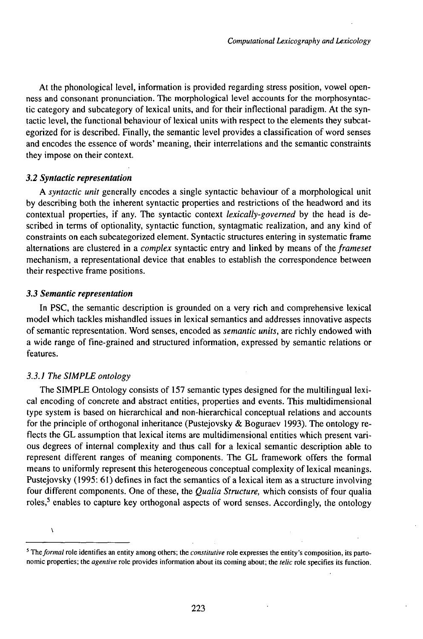At the phonological level, information is provided regarding stress position, vowel openness and consonant pronunciation. The morphological level accounts for the morphosyntactic category and subcategory of lexical units, and for their inflectional paradigm. At the syntactic level, the functional behaviour of lexical units with respect to the elements they subcategorized for is described. Finally, the semantic level provides a classification of word senses and encodes the essence of words' meaning, their interrelations and the semantic constraints they impose on their context.

### *3.2 Syntactic representation*

A *syntactic unit* generally encodes a single syntactic behaviour of a morphological unit by describing both the inherent syntactic properties and restrictions of the headword and its contextual properties, if any. The syntactic context *lexically-governed* by the head is described in terms of optionality, syntactic function, syntagmatic realization, and any kind of constraints on each subcategorized element. Syntactic structures entering in systematic frame alternations are clustered in a *complex* syntactic entry and linked by means of the *frameset* mechanism, a representational device that enables to establish the correspondence between their respective frame positions.

#### *3.3 Semantic representation*

In PSC, the semantic description is grounded on a very rich and comprehensive lexical model which tackles mishandled issues in lexical semantics and addresses innovative aspects of semantic representation. Word senses, encoded as *semantic units,* are richly endowed with a wide range of fine-grained and structured information, expressed by semantic relations or features.

## *3.3. J The SIMPLE ontology*

N

The SIMPLE Ontology consists of 157 semantic types designed for the multilingual lexical encoding of concrete and abstract entities, properties and events. This multidimensional type system is based on hierarchical and non-hierarchical conceptual relations and accounts for the principle of orthogonal inheritance (Pustejovsky  $\&$  Boguraev 1993). The ontology reflects the GL assumption that lexical items are multidimensional entities which present various degrees of internal complexity and thus call for a lexical semantic description able to represent different ranges of meaning components. The GL framework offers the formal means to uniformly represent this heterogeneous conceptual complexity of lexical meanings. Pustejovsky (1995: 61) defines in fact the semantics of a lexical item as a structure involving four different components. One of these, the *Qualia Structure,* which consists of four qualia roles,<sup>5</sup> enables to capture key orthogonal aspects of word senses. Accordingly, the ontology

<sup>5</sup> *Theformal* role identifies an entity among others; the *constitutive* role expresses the entity's composition, its partonomic properties; the *agentive* role provides information about its coming about; the *telic* role specifies its function.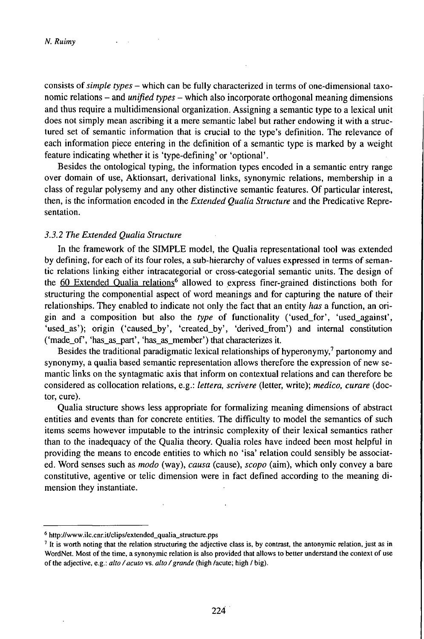consists of*simple types* - which can be fully characterized in terms of one-dimensional taxonomic relations - and *unified types* - which also incorporate orthogonal meaning dimensions and thus require a multidimensional organization. Assigning a semantic type to a lexical unit does not simply mean ascribing it a mere semantic label but rather endowing it with a structured set of semantic information that is crucial to the type's definition. The relevance of each information piece entering in the definition of a semantic type is marked by a weight feature indicating whether it is 'type-defining' or 'optional'.

Besides the ontological typing, the information types encoded in a semantic entry range over domain of use, Aktionsart, derivational links, synonymic relations, membership in a class of regular polysemy and any other distinctive semantic features. Of particular interest, then, is the information encoded in the *Extended Qualia Structure* and the Predicative Representation.

#### *3.3.2 The Extended Qualia Structure*

In the framework of the SľMPLE model, the Qualia representational tool was extended by defining, for each of its four roles, a sub-hierarchy of values expressed in terms of semantic relations linking either intracategorial or cross-categorial semantic units. The design of the 60 Extended Qualia relations<sup>6</sup> allowed to express finer-grained distinctions both for structuring the componential aspect of word meanings and for capturing the nature of their relationships. They enabled to indicate not only the fact that an entity *has* a function, an origin and a composition but also the *type* of functionality ('used\_for', 'used\_against', 'used\_as'); origin ('caused\_by', 'created\_by', 'derived\_from') and internal constitution ('made\_of', 'has\_as\_part', 'has\_as\_member') that characterizes it.

Besides the traditional paradigmatic lexical relationships of hyperonymy,<sup>7</sup> partonomy and synonymy, a qualia based semantic representation allows therefore the expression of new semantic links on the syntagmatic axis that inform on contextual relations and can therefore be considered as collocation relations, e.g.: *lettera, scrivere* (letter, write); *medico, curare* (doctor, cure).

Qualia structure shows less appropriate for formalizing meaning dimensions of abstract entities and events than for concrete entities. The difficulty to model the semantics of such items seems however imputable to the intrinsic complexity of their lexical semantics rather than to the inadequacy of the Qualia theory. Qualia roles have indeed been most helpful in providing the means to encode entities to which no 'isa' relation could sensibly be associated. Word senses such as *modo* (way), *causa* (cause), *scopo* (aim), which only convey a bare constitutive, agentive or telic dimension were in fact defined according to the meaning dimension they instantiate.

<sup>6</sup> http://www.ilc.cnr.it/clips/extended\_qualia\_structure.pps

<sup>&</sup>lt;sup>7</sup> It is worth noting that the relation structuring the adjective class is, by contrast, the antonymic relation, just as in WordNet. Most of the time, a synonymic relation is also provided that allows to better understand the context of use of the adjective, e.g.: *alto/acuto* vs. *alto/grande* (high /acute; high / big).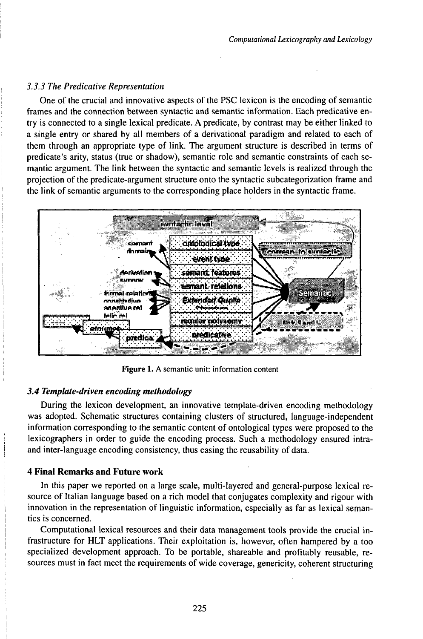## *3.3.3 The Predicative Representation*

One of the crucial and innovative aspects of the PSC lexicon is the encoding of semantic frames and the connection between syntactic and semantic information. Each predicative entry is connected to a single lexical predicate. A predicate, by contrast may be either linked to a single entry or shared by all members of a derivational paradigm and related to each of them through an appropriate type of link. The argument structure is described in terms of predicate's arity, status (true or shadow), semantic role and semantic constraints of each semantic argument. The link between the syntactic and semantic levels is realized through the projection of the predicate-argument structure onto the syntactic subcategorization frame and the link of semantic arguments to the corresponding place holders in the syntactic frame.



Figure 1. A semantic unit: information content

## *3.4 Tempktte-driven encoding methodology*

During the lexicon development, an innovative template-driven encoding methodology was adopted. Schematic structures containing clusters of structured, language-independent information corresponding to the semantic content of ontological types were proposed to the lexicographers in order to guide the encoding process. Such a methodology ensured intraand inter-language encoding consistency, thus easing the reusability of data.

## **4 Final Remarks and Future work**

In this paper we reported on a large scale, multi-layered and general-purpose lexical resource of Italian language based on a rich model that conjugates complexity and rigour with innovation in the representation of linguistic information, especially as far as lexical semantics is concerned.

Computational lexical resources and their data management tools provide the crucial infrastructure for HLT applications. Their exploitation is, however, often hampered by a too specialized development approach. To be portable, shareable and profitably reusable, resources must in fact meet the requirements of wide coverage, genericity, coherent structuring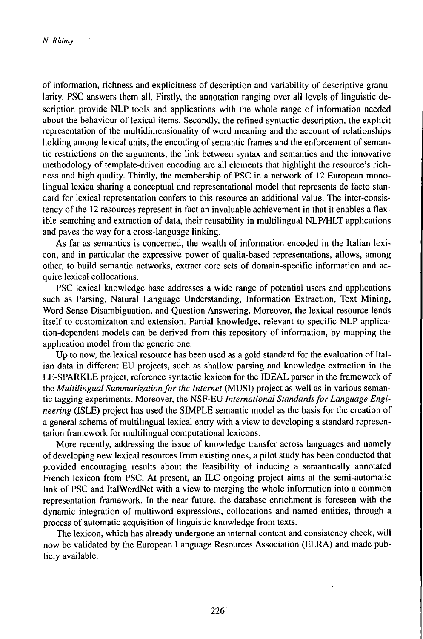of information, richness and explicitness of description and variability of descriptive granularity. PSC answers them all. Firstly, the annotation ranging over all levels of linguistic description provide NLP tools and applications with the whole range of information needed about the behaviour of lexical items. Secondly, the refined syntactic description, the explicit representation of the multidimensionality of word meaning and the account of relationships holding among lexical units, the encoding of semantic frames and the enforcement of semantic restrictions on the arguments, the link between syntax and semantics and the innovative methodology of template-driven encoding are all elements that highlight the resource's richness and high quality. Thirdly, the membership of PSC in a network of 12 European monolingual lexica sharing a conceptual and representational model that represents de facto standard for lexical representation confers to this resource an additional value. The inter-consistency of the 12 resources represent in fact an invaluable achievement in that it enables a flexible searching and extraction of data, their reusability in multilingual NLP^ILT applications and paves the way for a cross-language linking.

As far as semantics is concerned, the wealth of information encoded in the Italian lexicon, and in particular the expressive power of qualia-based representations, allows, among other, to build semantic networks, extract core sets of domain-specific information and acquire lexical collocations.

PSC lexical knowledge base addresses a wide range of potential users and applications such as Parsing, Natural Language Understanding, Information Extraction, Text Mining, Word Sense Disambiguation, and Question Answering. Moreover, the lexical resource lends itself to customization and extension. Partial knowledge, relevant to specific NLP application-dependent models can be derived from this repository of information, by mapping the application model from the generic one.

Up to now, the lexical resource has been used as a gold standard for the evaluation of Italian data in different EU projects, such as shallow parsing and knowledge extraction in the LE-SPARKLE project, reference syntactic lexicon for the IDEAL parser in the framework of the *Multilingual Summarizationfor the Internet* (MUSI) project as well as in various semantic tagging experiments. Moreover, the NSF-EU *International Standardsfor Language Engineering* (ISLE) project has used the SIMPLE semantic model as the basis for the creation of a general schema of multilingual lexical entry with a view to developing a standard representation framework for multilingual computational lexicons.

More recently, addressing the issue of knowledge transfer across languages and namely of developing new lexical resources from existing ones, a pilot study has been conducted that provided encouraging results about the feasibility of inducing a semantically annotated French lexicon from PSC. At present, an ILC ongoing project aims at the semi-automatic link of PSC and ItalWordNet with a view to merging the whole information into a common representation framework. In the near future, the database enrichment is foreseen with the dynamic integration of multiword expressions, collocations and named entities, through a process of automatic acquisition of linguistic knowledge from texts.

The lexicon, which has already undergone an internal content and consistency check, will now be validated by the European Language Resources Association (ELRA) and made publicly available.